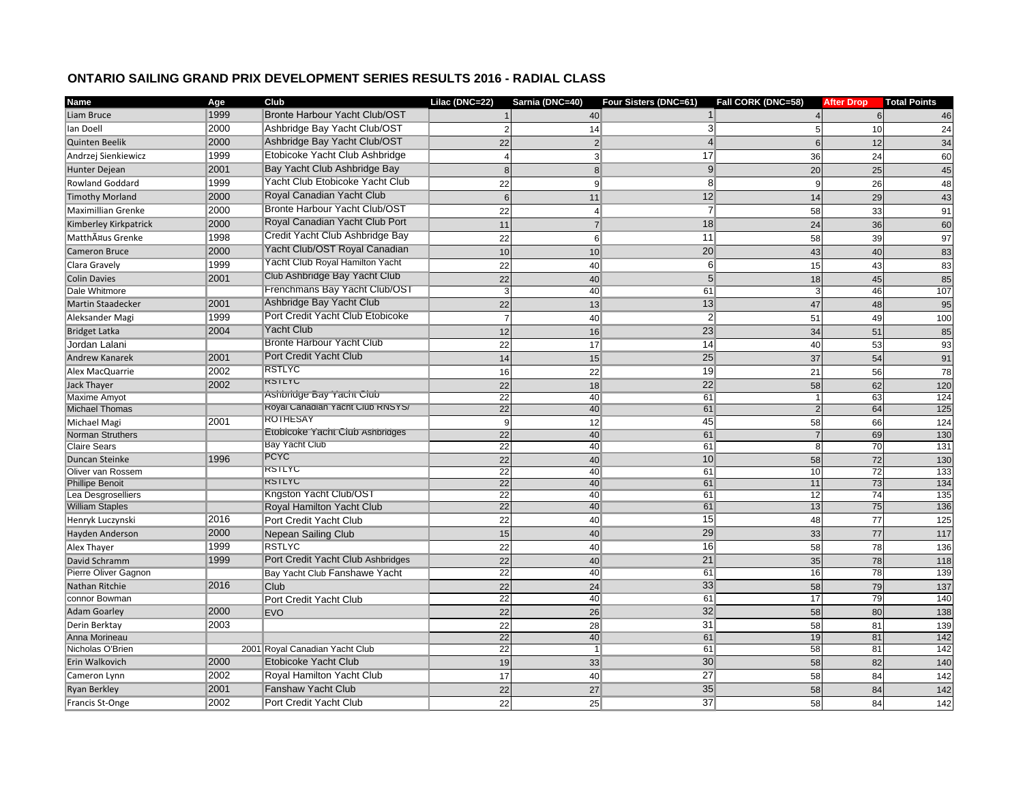## **ONTARIO SAILING GRAND PRIX DEVELOPMENT SERIES RESULTS 2016 - RADIAL CLASS**

| Name                                         | Age  | Club                                   | Lilac (DNC=22)                     | Sarnia (DNC=40) | Four Sisters (DNC=61) | Fall CORK (DNC=58) | <b>After Drop</b>     | <b>Total Points</b> |
|----------------------------------------------|------|----------------------------------------|------------------------------------|-----------------|-----------------------|--------------------|-----------------------|---------------------|
| Liam Bruce                                   | 1999 | Bronte Harbour Yacht Club/OST          |                                    | 40              |                       |                    | 6                     | 46                  |
| lan Doell                                    | 2000 | Ashbridge Bay Yacht Club/OST           |                                    | 14              | $\mathbf{3}$          |                    | 10                    | 24                  |
| Quinten Beelik                               | 2000 | Ashbridge Bay Yacht Club/OST           | 22                                 | $\overline{2}$  | $\overline{4}$        |                    | 12                    | 34                  |
| Andrzej Sienkiewicz                          | 1999 | Etobicoke Yacht Club Ashbridge         |                                    | $\mathbf{3}$    | 17                    | 36                 | 24                    | 60                  |
| Hunter Dejean                                | 2001 | Bay Yacht Club Ashbridge Bay           | 8                                  | 8               | 9                     | 20                 | 25                    | 45                  |
| Rowland Goddard                              | 1999 | Yacht Club Etobicoke Yacht Club        | 22                                 | $\overline{9}$  | 8                     | $\mathbf c$        | 26                    | 48                  |
| <b>Timothy Morland</b>                       | 2000 | Royal Canadian Yacht Club              | $6\phantom{1}6$                    | 11              | 12                    | 14                 | 29                    | 43                  |
| Maximillian Grenke                           | 2000 | <b>Bronte Harbour Yacht Club/OST</b>   | 22                                 | $\overline{4}$  | $\overline{7}$        | 58                 | 33                    | 91                  |
| Kimberley Kirkpatrick                        | 2000 | Royal Canadian Yacht Club Port         | 11                                 | $\overline{7}$  | 18                    | 24                 | 36                    | 60                  |
| Matthäus Grenke                              | 1998 | Credit Yacht Club Ashbridge Bay        | 22                                 | 6               | 11                    | 58                 | 39                    | 97                  |
| Cameron Bruce                                | 2000 | Yacht Club/OST Royal Canadian          | 10                                 | 10              | 20                    | 43                 | 40                    | 83                  |
| Clara Gravely                                | 1999 | <b>Yacht Club Royal Hamilton Yacht</b> | 22                                 | 40              | 6 <sup>1</sup>        | 15                 | 43                    | 83                  |
| Colin Davies                                 | 2001 | Club Ashbridge Bay Yacht Club          | 22                                 | 40              | 5 <sub>5</sub>        | 18                 | 45                    | 85                  |
| Dale Whitmore                                |      | Frenchmans Bay Yacht Club/OS1          | 3                                  | 40              | 61                    | З                  | 46                    | 107                 |
| <b>Martin Staadecker</b>                     | 2001 | Ashbridge Bay Yacht Club               | 22                                 | 13              | 13                    | 47                 | 48                    | 95                  |
| Aleksander Magi                              | 1999 | Port Credit Yacht Club Etobicoke       | $\overline{7}$                     | 40              | $\overline{2}$        | 51                 | 49                    | 100                 |
| Bridget Latka                                | 2004 | <b>Yacht Club</b>                      | 12                                 | 16              | 23                    | 34                 | 51                    | 85                  |
| Jordan Lalani                                |      | <b>Bronte Harbour Yacht Club</b>       | 22                                 | 17              | 14                    | 40                 | 53                    | 93                  |
| Andrew Kanarek                               | 2001 | <b>Port Credit Yacht Club</b>          | 14                                 | 15              | 25                    | 37                 | 54                    | 91                  |
| Alex MacQuarrie                              | 2002 | <b>RSTLYC</b>                          | 16                                 | 22              | 19                    | 21                 | 56                    | 78                  |
| Jack Thayer                                  | 2002 | <b>RSILYU</b>                          | 22                                 | 18              | 22                    | 58                 | 62                    | 120                 |
| Maxime Amyot                                 |      | Ashbridge Bay Yacht Club               | 22                                 | 40              | 61                    |                    | 63                    | 124                 |
| <b>Michael Thomas</b>                        |      | Royal Canadian Yacht Club RNSYS/       | $\overline{22}$                    | 40              | 61                    | 2                  | 64                    | 125                 |
| Michael Magi                                 | 2001 | <b>ROTHESAY</b>                        | 9                                  | 12              | 45                    | 58                 | 66                    | $\overline{124}$    |
| Norman Struthers                             |      | ETODICOKE YACHT CIUD ASHDridges        | $\overline{22}$                    | 40              | 61                    |                    | 69                    | 130                 |
| <b>Claire Sears</b>                          |      | <b>Bay Yacht Club</b>                  | $\overline{22}$                    | 40              | 61                    | 8                  | 70                    | 131                 |
| Duncan Steinke                               | 1996 | <b>PCYC</b><br><b>RSILYC</b>           | 22                                 | 40              | 10 <sup>1</sup>       | 58                 | 72                    | 130                 |
| Oliver van Rossem                            |      | <b>RSILYC</b>                          | $\overline{22}$                    | 40              | 61                    | 10                 | 72                    | 133<br>134          |
| <b>Phillipe Benoit</b><br>Lea Desgroselliers |      | Kngston Yacht Club/OST                 | $\overline{22}$<br>$\overline{22}$ | 40<br>40        | 61<br>61              | 11<br>12           | 73<br>$\overline{74}$ | 135                 |
| <b>William Staples</b>                       |      | <b>Royal Hamilton Yacht Club</b>       | 22                                 | 40              | 61                    | 13                 | 75                    | 136                 |
| Henryk Luczynski                             | 2016 | Port Credit Yacht Club                 | 22                                 | 40              | 15                    | 48                 | 77                    | 125                 |
| Hayden Anderson                              | 2000 | Nepean Sailing Club                    | 15                                 | 40              | 29                    | 33                 | 77                    | 117                 |
| Alex Thayer                                  | 1999 | <b>RSTLYC</b>                          | 22                                 | 40              | 16                    | 58                 | 78                    | 136                 |
| David Schramm                                | 1999 | Port Credit Yacht Club Ashbridges      | 22                                 | 40              | 21                    | 35                 | 78                    | 118                 |
| Pierre Oliver Gagnon                         |      | Bay Yacht Club Fanshawe Yacht          | 22                                 | 40              | 61                    | 16                 | 78                    | 139                 |
| Nathan Ritchie                               | 2016 | Club                                   | 22                                 | 24              | 33                    | 58                 | 79                    | 137                 |
| connor Bowman                                |      | Port Credit Yacht Club                 | $\overline{22}$                    | 40              | 61                    | 17                 | 79                    | 140                 |
| <b>Adam Goarley</b>                          | 2000 | <b>EVO</b>                             | 22                                 | 26              | 32                    | 58                 | 80                    | 138                 |
| Derin Berktay                                | 2003 |                                        | 22                                 | 28              | 31                    | 58                 | 81                    | 139                 |
| Anna Morineau                                |      |                                        | $\overline{22}$                    | 40              | 61                    | 19                 | 81                    | 142                 |
| Nicholas O'Brien                             |      | 2001 Royal Canadian Yacht Club         | $\overline{22}$                    | $\overline{1}$  | 61                    | 58                 | 81                    | 142                 |
| Erin Walkovich                               | 2000 | Etobicoke Yacht Club                   | 19                                 | 33              | 30                    | 58                 | 82                    | 140                 |
| Cameron Lynn                                 | 2002 | Royal Hamilton Yacht Club              | 17                                 | 40              | 27                    | 58                 | 84                    | 142                 |
| <b>Ryan Berkley</b>                          | 2001 | <b>Fanshaw Yacht Club</b>              | 22                                 | 27              | 35                    | 58                 | 84                    | 142                 |
| Francis St-Onge                              | 2002 | Port Credit Yacht Club                 | 22                                 | 25              | 37                    | 58                 | 84                    | 142                 |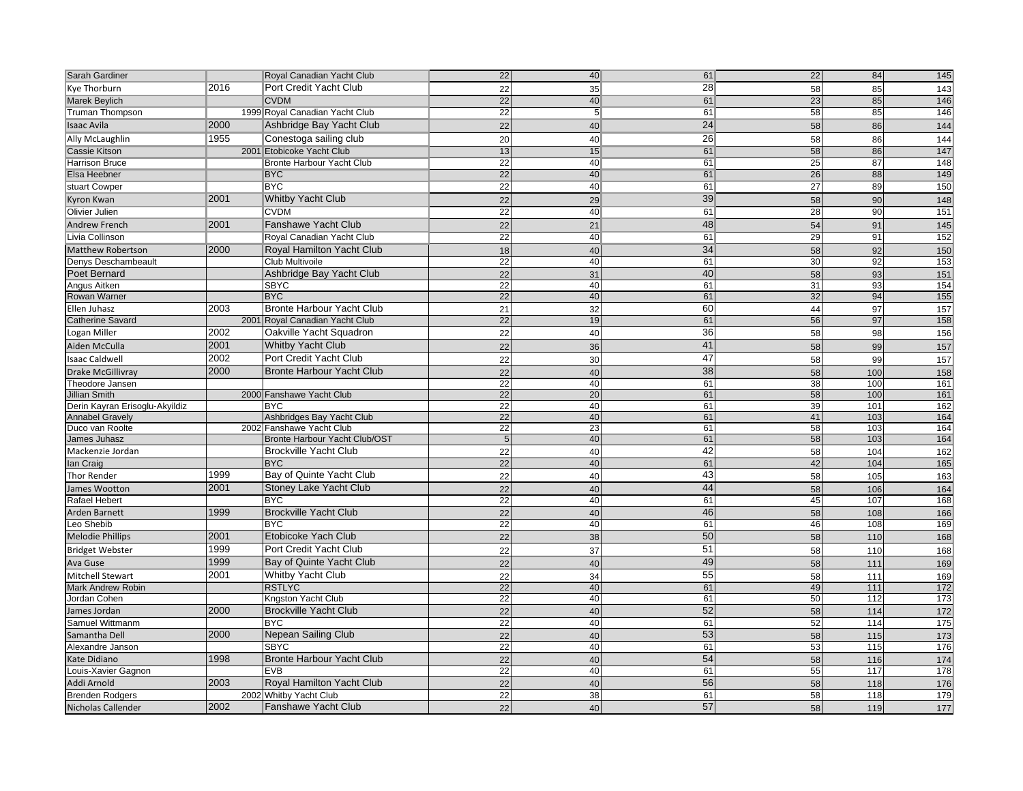| Sarah Gardiner                                  |      | Royal Canadian Yacht Club                                 | 22                                | 40       | 61       | 22       | 84         | $\overline{145}$ |
|-------------------------------------------------|------|-----------------------------------------------------------|-----------------------------------|----------|----------|----------|------------|------------------|
| Kye Thorburn                                    | 2016 | Port Credit Yacht Club                                    | 22                                | 35       | 28       | 58       | 85         | 143              |
| <b>Marek Beylich</b>                            |      | <b>CVDM</b>                                               | $\overline{22}$                   | 40       | 61       | 23       | 85         | 146              |
| Truman Thompson                                 |      | 1999 Royal Canadian Yacht Club                            | 22                                | 5        | 61       | 58       | 85         | 146              |
| Isaac Avila                                     | 2000 | Ashbridge Bay Yacht Club                                  | 22                                | 40       | 24       | 58       | 86         | 144              |
| Ally McLaughlin                                 | 1955 | Conestoga sailing club                                    | 20                                | 40       | 26       | 58       | 86         | 144              |
| <b>Cassie Kitson</b>                            |      | 2001 Etobicoke Yacht Club                                 | 13                                | 15       | 61       | 58       | 86         | 147              |
| <b>Harrison Bruce</b>                           |      | <b>Bronte Harbour Yacht Club</b>                          | 22                                | 40       | 61       | 25       | 87         | 148              |
| <b>Elsa Heebner</b>                             |      | <b>BYC</b>                                                | $\overline{22}$                   | 40       | 61       | 26       | 88         | 149              |
| stuart Cowper                                   |      | <b>BYC</b>                                                | 22                                | 40       | 61       | 27       | 89         | 150              |
| Kyron Kwan                                      | 2001 | Whitby Yacht Club                                         | 22                                | 29       | 39       | 58       | 90         | 148              |
| <b>Olivier Julien</b>                           |      | <b>CVDM</b>                                               | 22                                | 40       | 61       | 28       | 90         | 151              |
| Andrew French                                   | 2001 | <b>Fanshawe Yacht Club</b>                                | 22                                | 21       | 48       | 54       | 91         | 145              |
| Livia Collinson                                 |      | Royal Canadian Yacht Club                                 | $\overline{22}$                   | 40       | 61       | 29       | 91         | 152              |
|                                                 | 2000 |                                                           |                                   |          | 34       |          |            |                  |
| <b>Matthew Robertson</b><br>Denys Deschambeault |      | Royal Hamilton Yacht Club<br>Club Multivoile              | 18<br>$\overline{22}$             | 40<br>40 | 61       | 58<br>30 | 92<br>92   | 150<br>153       |
|                                                 |      |                                                           |                                   |          |          |          |            |                  |
| Poet Bernard                                    |      | Ashbridge Bay Yacht Club<br><b>SBYC</b>                   | 22                                | 31       | 40       | 58       | 93         | 151              |
| Angus Aitken<br>Rowan Warner                    |      | <b>BYC</b>                                                | 22<br>$\overline{22}$             | 40<br>40 | 61<br>61 | 31<br>32 | 93<br>94   | 154<br>155       |
| Ellen Juhasz                                    | 2003 | <b>Bronte Harbour Yacht Club</b>                          |                                   |          | 60       |          |            |                  |
|                                                 |      | 2001 Royal Canadian Yacht Club                            | 21<br>$\overline{22}$             | 32<br>19 | 61       | 44<br>56 | 97<br>97   | 157<br>158       |
| <b>Catherine Savard</b>                         | 2002 | Oakville Yacht Squadron                                   |                                   |          | 36       |          |            |                  |
| Logan Miller                                    |      |                                                           | 22                                | 40       | 41       | 58       | 98         | 156              |
| Aiden McCulla                                   | 2001 | <b>Whitby Yacht Club</b>                                  | 22                                | 36       |          | 58       | 99         | 157              |
| <b>Isaac Caldwell</b>                           | 2002 | Port Credit Yacht Club                                    | 22                                | 30       | 47       | 58       | 99         | 157              |
| <b>Drake McGillivray</b>                        | 2000 | <b>Bronte Harbour Yacht Club</b>                          | 22                                | 40       | 38       | 58       | 100        | 158              |
| Theodore Jansen                                 |      |                                                           | $\overline{22}$                   | 40       | 61       | 38       | 100        | 161              |
| <b>Jillian Smith</b>                            |      | 2000 Fanshawe Yacht Club                                  | 22                                | 20       | 61       | 58       | 100        | 161              |
| Derin Kayran Erisoglu-Akyildiz                  |      | <b>BYC</b>                                                | 22                                | 40       | 61       | 39       | 101        | 162              |
| <b>Annabel Gravely</b>                          |      | Ashbridges Bay Yacht Club                                 | $\overline{22}$                   | 40       | 61       | 41       | 103        | 164              |
| Duco van Roolte<br>James Juhasz                 |      | 2002 Fanshawe Yacht Club<br>Bronte Harbour Yacht Club/OST | $\overline{22}$<br>$\overline{5}$ | 23<br>40 | 61<br>61 | 58<br>58 | 103<br>103 | 164<br>164       |
| Mackenzie Jordan                                |      | <b>Brockville Yacht Club</b>                              | 22                                |          | 42       |          |            | 162              |
|                                                 |      | <b>BYC</b>                                                | 22                                | 40<br>40 | 61       | 58<br>42 | 104<br>104 | 165              |
| lan Craig                                       | 1999 | Bay of Quinte Yacht Club                                  |                                   |          | 43       | 58       |            | 163              |
| Thor Render                                     | 2001 | <b>Stoney Lake Yacht Club</b>                             | 22                                | 40       | 44       |          | 105        |                  |
| James Wootton                                   |      | <b>BYC</b>                                                | 22<br>22                          | 40       |          | 58       | 106        | 164              |
| <b>Rafael Hebert</b>                            | 1999 | <b>Brockville Yacht Club</b>                              | 22                                | 40       | 61<br>46 | 45       | 107        | 168              |
| Arden Barnett<br>Leo Shebib                     |      | <b>BYC</b>                                                | $\overline{22}$                   | 40<br>40 | 61       | 58<br>46 | 108<br>108 | 166<br>169       |
| <b>Melodie Phillips</b>                         | 2001 | Etobicoke Yach Club                                       | 22                                | 38       | 50       | 58       | 110        | 168              |
|                                                 | 1999 | Port Credit Yacht Club                                    |                                   |          | 51       |          |            |                  |
| <b>Bridget Webster</b>                          | 1999 |                                                           | 22                                | 37       |          | 58       | 110        | 168              |
| Ava Guse                                        |      | Bay of Quinte Yacht Club                                  | 22                                | 40       | 49       | 58       | 111        | 169              |
| <b>Mitchell Stewart</b>                         | 2001 | Whitby Yacht Club                                         | 22                                | 34       | 55       | 58       | 111        | 169              |
| <b>Mark Andrew Robin</b>                        |      | <b>RSTLYC</b>                                             | $\overline{22}$                   | 40       | 61       | 49       | 111        | 172              |
| Jordan Cohen                                    |      | Kngston Yacht Club                                        | $\overline{22}$                   | 40       | 61       | 50       | 112        | 173              |
| James Jordan                                    | 2000 | <b>Brockville Yacht Club</b>                              | 22                                | 40       | 52       | 58       | 114        | 172              |
| Samuel Wittmanm                                 |      | <b>BYC</b>                                                | 22                                | 40       | 61       | 52       | 114        | $\frac{175}{2}$  |
| Samantha Dell                                   | 2000 | Nepean Sailing Club                                       | 22                                | 40       | 53       | 58       | 115        | 173              |
| Alexandre Janson                                |      | <b>SBYC</b>                                               | 22                                | 40       | 61       | 53       | 115        | 176              |
| Kate Didiano                                    | 1998 | <b>Bronte Harbour Yacht Club</b>                          | 22                                | 40       | 54       | 58       | 116        | 174              |
| Louis-Xavier Gagnon                             |      | <b>EVB</b>                                                | 22                                | 40       | 61       | 55       | 117        | 178              |
| Addi Arnold                                     | 2003 | Royal Hamilton Yacht Club                                 | 22                                | 40       | 56       | 58       | 118        | 176              |
| <b>Brenden Rodgers</b>                          |      | 2002 Whitby Yacht Club                                    | $\overline{22}$                   | 38       | 61       | 58       | 118        | 179              |
| Nicholas Callender                              | 2002 | Fanshawe Yacht Club                                       | 22                                | 40       | 57       | 58       | 119        | 177              |